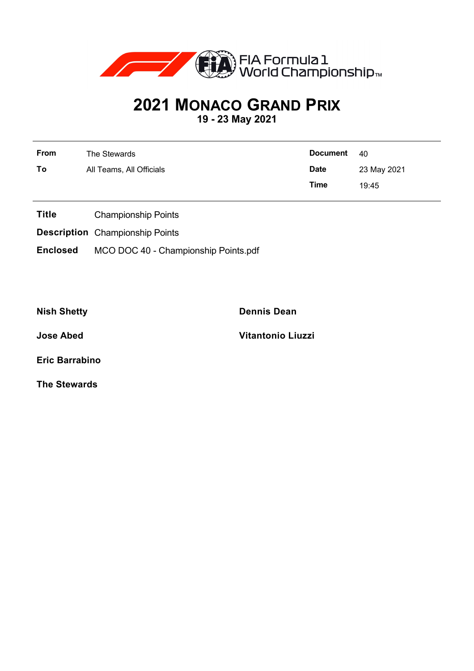

## **2021 MONACO GRAND PRIX**

**19 - 23 May 2021**

| From | The Stewards             | <b>Document</b>            | 40    |  |  |
|------|--------------------------|----------------------------|-------|--|--|
| To   | All Teams, All Officials | <b>Date</b><br>23 May 2021 |       |  |  |
|      |                          | Time                       | 19:45 |  |  |

- **Title** Championship Points
- **Description** Championship Points
- **Enclosed** MCO DOC 40 Championship Points.pdf

**Nish Shetty Dennis Dean**

**Jose Abed Vitantonio Liuzzi**

**Eric Barrabino**

**The Stewards**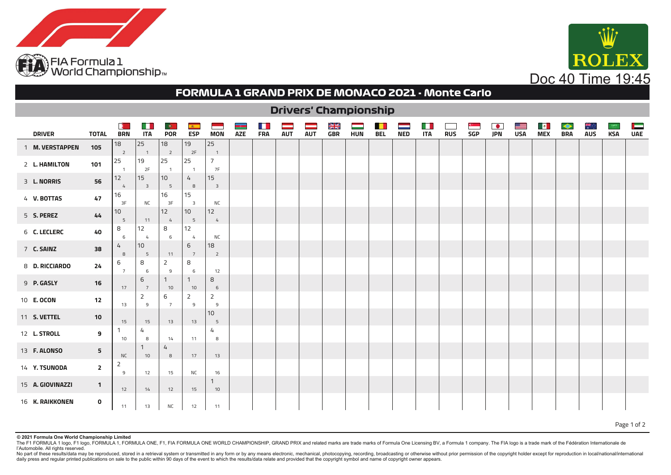



## **FORMULA 1 GRAND PRIX DE MONACO 2021 - Monte Carlo**

|                     | <b>Drivers' Championship</b> |                      |                               |                                |                               |                               |                   |            |            |            |                 |            |            |            |                           |            |                           |                  |                 |                       |                         |            |            |                 |
|---------------------|------------------------------|----------------------|-------------------------------|--------------------------------|-------------------------------|-------------------------------|-------------------|------------|------------|------------|-----------------|------------|------------|------------|---------------------------|------------|---------------------------|------------------|-----------------|-----------------------|-------------------------|------------|------------|-----------------|
| <b>DRIVER</b>       | <b>TOTAL</b>                 | Æ.<br><b>BRN</b>     | a ka<br><b>ITA</b>            | $\bullet$<br><b>POR</b>        | $\mathbf{A}$<br><b>ESP</b>    | <b>MON</b>                    | ia.<br><b>AZE</b> | <b>FRA</b> | <b>AUT</b> | <b>AUT</b> | NK<br>MK<br>GBR | <b>HUN</b> | <b>BEL</b> | <b>NED</b> | <b>Tall</b><br><b>ITA</b> | <b>RUS</b> | <u>н на</u><br><b>SGP</b> | $\bullet$<br>JPN | ≝<br><b>USA</b> | $\blacksquare$<br>MEX | $\bullet$<br><b>BRA</b> | <b>AUS</b> | <b>KSA</b> | Ē<br><b>UAE</b> |
| 1 M. VERSTAPPEN     | 105                          | 18<br>$\overline{2}$ | 25<br>$\overline{1}$          | 18<br>$\overline{\phantom{0}}$ | 19<br>2F                      | 25<br>$\overline{1}$          |                   |            |            |            |                 |            |            |            |                           |            |                           |                  |                 |                       |                         |            |            |                 |
| 2 L. HAMILTON       | 101                          | 25<br>$\overline{1}$ | 19<br>2F                      | 25<br>$\overline{1}$           | 25<br>$\overline{1}$          | $\overline{7}$<br>7F          |                   |            |            |            |                 |            |            |            |                           |            |                           |                  |                 |                       |                         |            |            |                 |
| 3 L. NORRIS         | 56                           | 12<br>$\frac{1}{4}$  | 15<br>$\overline{\mathbf{3}}$ | 10<br>5                        | $\frac{1}{4}$<br>8            | 15<br>$\overline{\mathbf{3}}$ |                   |            |            |            |                 |            |            |            |                           |            |                           |                  |                 |                       |                         |            |            |                 |
| 4 V. BOTTAS         | 47                           | 16<br>3F             | <b>NC</b>                     | 16<br>3F                       | 15<br>$\overline{\mathbf{3}}$ | <b>NC</b>                     |                   |            |            |            |                 |            |            |            |                           |            |                           |                  |                 |                       |                         |            |            |                 |
| 5 S. PEREZ          | 44                           | 10<br>5              | 11                            | 12<br>$\overline{4}$           | 10<br>5                       | 12<br>4                       |                   |            |            |            |                 |            |            |            |                           |            |                           |                  |                 |                       |                         |            |            |                 |
| 6 C. LECLERC        | 40                           | 8<br>6               | 12<br>$\overline{4}$          | 8<br>6                         | 12<br>4                       | <b>NC</b>                     |                   |            |            |            |                 |            |            |            |                           |            |                           |                  |                 |                       |                         |            |            |                 |
| 7 C. SAINZ          | 38                           | 4<br>8               | 10<br>5                       | 11                             | 6<br>$\overline{7}$           | 18<br>$\overline{2}$          |                   |            |            |            |                 |            |            |            |                           |            |                           |                  |                 |                       |                         |            |            |                 |
| 8 D. RICCIARDO      | 24                           | 6<br>$7\overline{ }$ | 8<br>6                        | 2<br>9                         | 8<br>6                        | 12                            |                   |            |            |            |                 |            |            |            |                           |            |                           |                  |                 |                       |                         |            |            |                 |
| 9 P. GASLY          | 16                           | 17                   | 6<br>$7^{\circ}$              | 1<br>10                        | $\mathbf{1}$<br>10            | 8<br>6                        |                   |            |            |            |                 |            |            |            |                           |            |                           |                  |                 |                       |                         |            |            |                 |
| 10 <b>E. OCON</b>   | 12                           | 13                   | 2<br>9                        | 6<br>$7\overline{ }$           | 2<br>9                        | $\overline{2}$<br>9           |                   |            |            |            |                 |            |            |            |                           |            |                           |                  |                 |                       |                         |            |            |                 |
| 11 S. VETTEL        | 10                           | 15                   | 15                            | 13                             | 13                            | 10<br>5                       |                   |            |            |            |                 |            |            |            |                           |            |                           |                  |                 |                       |                         |            |            |                 |
| 12 L. STROLL        | 9                            | 1.<br>10             | 4<br>8                        | 14                             | 11                            | 4<br>8                        |                   |            |            |            |                 |            |            |            |                           |            |                           |                  |                 |                       |                         |            |            |                 |
| 13 <b>F. ALONSO</b> | 5                            | <b>NC</b>            | 10                            | 4<br>8                         | 17                            | 13                            |                   |            |            |            |                 |            |            |            |                           |            |                           |                  |                 |                       |                         |            |            |                 |
| 14 Y. TSUNODA       | $\overline{2}$               | 2<br>9               | 12                            | 15                             | <b>NC</b>                     | 16                            |                   |            |            |            |                 |            |            |            |                           |            |                           |                  |                 |                       |                         |            |            |                 |
| 15 A. GIOVINAZZI    | $\mathbf{1}$                 | 12                   | 14                            | 12                             | 15                            | 1<br>10                       |                   |            |            |            |                 |            |            |            |                           |            |                           |                  |                 |                       |                         |            |            |                 |
| 16 K. RAIKKONEN     | 0                            | 11                   | 13                            | <b>NC</b>                      | 12                            | 11                            |                   |            |            |            |                 |            |            |            |                           |            |                           |                  |                 |                       |                         |            |            |                 |

Page 1 of 2

## **© 2021 Formula One World Championship Limited**

The F1 FORMULA 1 logo, F1 logo, F0RMULA 1, FORMULA ONE, F1, F1A FORMULA ONE WORLD CHAMPIONSHIP, GRAND PRIX and related marks are trade marks of Formula One Licensing BV, a Formula 1 company. The FIA logo is a trade mark of l'Automobile. All rights reserved.

No part of these results/data may be reproduced, stored in a retrieval system or transmitted in any form or by any means electronic, mechanical, photocopying, recording, broadcasting or otherwise without prior permission o daily press and regular printed publications on sale to the public within 90 days of the event to which the results/data relate and provided that the copyright symbol and name of copyright owner appears.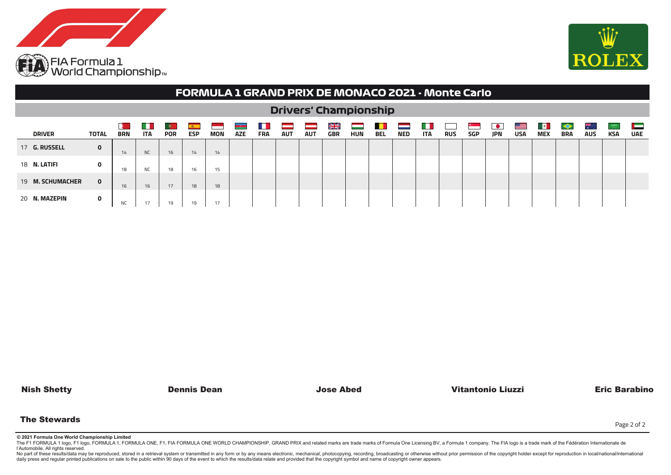



|                      | FORMULA 1 GRAND PRIX DE MONACO 2021 - Monte Carlo |                 |                   |                         |            |     |                    |                   |            |            |                        |     |            |            |            |            |            |            |            |                            |                 |            |              |                                                                                                                                     |
|----------------------|---------------------------------------------------|-----------------|-------------------|-------------------------|------------|-----|--------------------|-------------------|------------|------------|------------------------|-----|------------|------------|------------|------------|------------|------------|------------|----------------------------|-----------------|------------|--------------|-------------------------------------------------------------------------------------------------------------------------------------|
|                      | <b>Drivers' Championship</b>                      |                 |                   |                         |            |     |                    |                   |            |            |                        |     |            |            |            |            |            |            |            |                            |                 |            |              |                                                                                                                                     |
| <b>DRIVER</b>        | TOTAL                                             | н<br><b>BRN</b> | . .<br><b>ITA</b> | $\bullet$<br><b>POR</b> | <b>ESP</b> | MON | uran<br><b>AZE</b> | . .<br><b>FRA</b> | <b>AUT</b> | <b>AUT</b> | NK<br>MK<br><b>GBR</b> | HUN | <b>BEL</b> | <b>NED</b> | <b>ITA</b> | <b>RUS</b> | <b>SGP</b> | <b>JPN</b> | <b>USA</b> | $\mathbf{r}$<br><b>MEX</b> | ◆<br><b>BRA</b> | <b>AUS</b> | 5,200<br>KSA | <b>The Contract of the Contract of the Contract of the Contract of the Contract of the Contract of The Contract o</b><br><b>UAE</b> |
| 17 <b>G. RUSSELL</b> | 0                                                 | 14              | <b>NC</b>         | 16                      | 14         | 14  |                    |                   |            |            |                        |     |            |            |            |            |            |            |            |                            |                 |            |              |                                                                                                                                     |
| 18 N. LATIFI         | $\mathbf{o}$                                      | 18              | <b>NC</b>         | 18                      | 16         | 15  |                    |                   |            |            |                        |     |            |            |            |            |            |            |            |                            |                 |            |              |                                                                                                                                     |
| 19 M. SCHUMACHER     | $\mathbf{0}$                                      | 16              | 16                | 17                      | 18         | 18  |                    |                   |            |            |                        |     |            |            |            |            |            |            |            |                            |                 |            |              |                                                                                                                                     |
| 20 N. MAZEPIN        | 0                                                 | ΝC              |                   | 19                      | 19         | 17  |                    |                   |            |            |                        |     |            |            |            |            |            |            |            |                            |                 |            |              |                                                                                                                                     |

Nish Shetty Dennis Dean Jose Abed Vitantonio Liuzzi Eric Barabino

The Stewards

Page 2 of 2

**© 2021 Formula One World Championship Limited**

The F1 FORMULA 1 logo, F1 logo, FORMULA 1, FORMULA ONE, F1, FIA FORMULA ONE WORLD CHAMPIONSHIP, GRAND PRIX and related marks are trade marks of Formula One Licensing BV, a Formula 1 company. The FIA logo is a trade mark of l'Automobile. All rights reserved.

No part of these results/data may be reproduced, stored in a retrieval system or transmitted in any form or by any means electronic, mechanical, photocopying, recording, broadcasting or otherwise without prior permission o daily press and regular printed publications on sale to the public within 90 days of the event to which the results/data relate and provided that the copyright symbol and name of copyright owner appears.